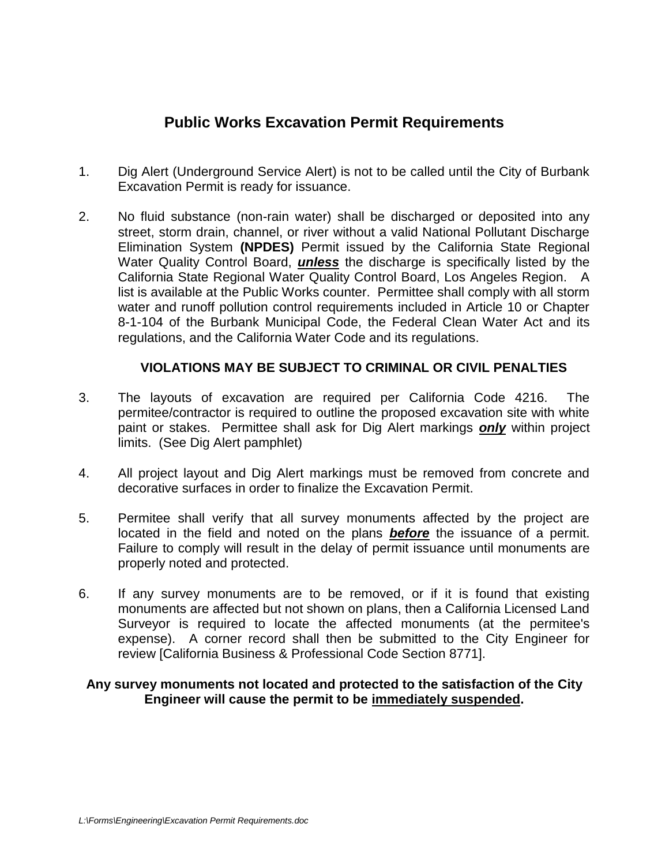## **Public Works Excavation Permit Requirements**

- 1. Dig Alert (Underground Service Alert) is not to be called until the City of Burbank Excavation Permit is ready for issuance.
- 2. No fluid substance (non-rain water) shall be discharged or deposited into any street, storm drain, channel, or river without a valid National Pollutant Discharge Elimination System **(NPDES)** Permit issued by the California State Regional Water Quality Control Board, *unless* the discharge is specifically listed by the California State Regional Water Quality Control Board, Los Angeles Region. A list is available at the Public Works counter. Permittee shall comply with all storm water and runoff pollution control requirements included in Article 10 or Chapter 8-1-104 of the Burbank Municipal Code, the Federal Clean Water Act and its regulations, and the California Water Code and its regulations.

## **VIOLATIONS MAY BE SUBJECT TO CRIMINAL OR CIVIL PENALTIES**

- 3. The layouts of excavation are required per California Code 4216. The permitee/contractor is required to outline the proposed excavation site with white paint or stakes. Permittee shall ask for Dig Alert markings *only* within project limits. (See Dig Alert pamphlet)
- 4. All project layout and Dig Alert markings must be removed from concrete and decorative surfaces in order to finalize the Excavation Permit.
- 5. Permitee shall verify that all survey monuments affected by the project are located in the field and noted on the plans *before* the issuance of a permit. Failure to comply will result in the delay of permit issuance until monuments are properly noted and protected.
- 6. If any survey monuments are to be removed, or if it is found that existing monuments are affected but not shown on plans, then a California Licensed Land Surveyor is required to locate the affected monuments (at the permitee's expense). A corner record shall then be submitted to the City Engineer for review [California Business & Professional Code Section 8771].

## **Any survey monuments not located and protected to the satisfaction of the City Engineer will cause the permit to be immediately suspended.**